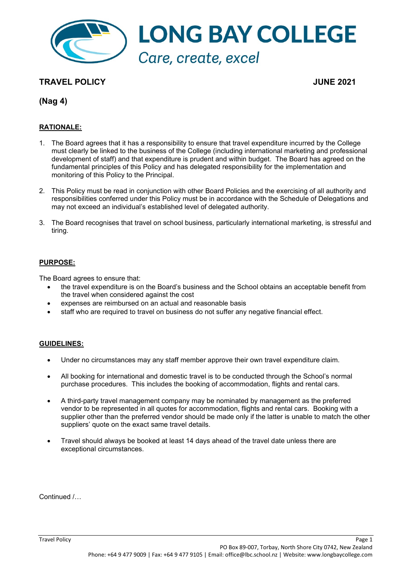

## **TRAVEL POLICY JUNE 2021**

# **(Nag 4)**

### **RATIONALE:**

- 1. The Board agrees that it has a responsibility to ensure that travel expenditure incurred by the College must clearly be linked to the business of the College (including international marketing and professional development of staff) and that expenditure is prudent and within budget. The Board has agreed on the fundamental principles of this Policy and has delegated responsibility for the implementation and monitoring of this Policy to the Principal.
- 2. This Policy must be read in conjunction with other Board Policies and the exercising of all authority and responsibilities conferred under this Policy must be in accordance with the Schedule of Delegations and may not exceed an individual's established level of delegated authority.
- 3. The Board recognises that travel on school business, particularly international marketing, is stressful and tiring.

### **PURPOSE:**

The Board agrees to ensure that:

- the travel expenditure is on the Board's business and the School obtains an acceptable benefit from the travel when considered against the cost
- expenses are reimbursed on an actual and reasonable basis
- staff who are required to travel on business do not suffer any negative financial effect.

#### **GUIDELINES:**

- Under no circumstances may any staff member approve their own travel expenditure claim.
- All booking for international and domestic travel is to be conducted through the School's normal purchase procedures. This includes the booking of accommodation, flights and rental cars.
- A third-party travel management company may be nominated by management as the preferred vendor to be represented in all quotes for accommodation, flights and rental cars. Booking with a supplier other than the preferred vendor should be made only if the latter is unable to match the other suppliers' quote on the exact same travel details.
- Travel should always be booked at least 14 days ahead of the travel date unless there are exceptional circumstances.

Continued /…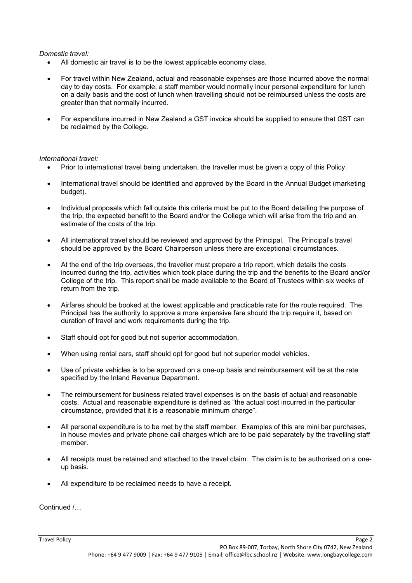#### *Domestic travel:*

- All domestic air travel is to be the lowest applicable economy class.
- For travel within New Zealand, actual and reasonable expenses are those incurred above the normal day to day costs. For example, a staff member would normally incur personal expenditure for lunch on a daily basis and the cost of lunch when travelling should not be reimbursed unless the costs are greater than that normally incurred.
- For expenditure incurred in New Zealand a GST invoice should be supplied to ensure that GST can be reclaimed by the College.

*International travel:*

- Prior to international travel being undertaken, the traveller must be given a copy of this Policy.
- International travel should be identified and approved by the Board in the Annual Budget (marketing budget).
- Individual proposals which fall outside this criteria must be put to the Board detailing the purpose of the trip, the expected benefit to the Board and/or the College which will arise from the trip and an estimate of the costs of the trip.
- All international travel should be reviewed and approved by the Principal. The Principal's travel should be approved by the Board Chairperson unless there are exceptional circumstances.
- At the end of the trip overseas, the traveller must prepare a trip report, which details the costs incurred during the trip, activities which took place during the trip and the benefits to the Board and/or College of the trip. This report shall be made available to the Board of Trustees within six weeks of return from the trip.
- Airfares should be booked at the lowest applicable and practicable rate for the route required. The Principal has the authority to approve a more expensive fare should the trip require it, based on duration of travel and work requirements during the trip.
- Staff should opt for good but not superior accommodation.
- When using rental cars, staff should opt for good but not superior model vehicles.
- Use of private vehicles is to be approved on a one-up basis and reimbursement will be at the rate specified by the Inland Revenue Department.
- The reimbursement for business related travel expenses is on the basis of actual and reasonable costs. Actual and reasonable expenditure is defined as "the actual cost incurred in the particular circumstance, provided that it is a reasonable minimum charge".
- All personal expenditure is to be met by the staff member. Examples of this are mini bar purchases, in house movies and private phone call charges which are to be paid separately by the travelling staff member.
- All receipts must be retained and attached to the travel claim. The claim is to be authorised on a oneup basis.
- All expenditure to be reclaimed needs to have a receipt.

Continued /…